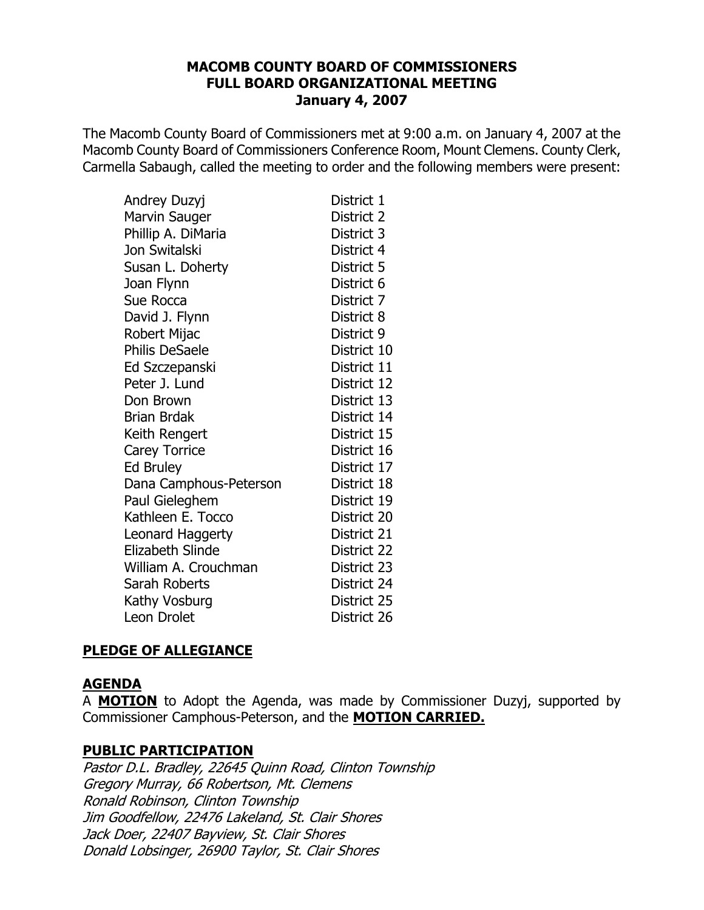The Macomb County Board of Commissioners met at 9:00 a.m. on January 4, 2007 at the Macomb County Board of Commissioners Conference Room, Mount Clemens. County Clerk, Carmella Sabaugh, called the meeting to order and the following members were present:

| Andrey Duzyj            | District 1  |
|-------------------------|-------------|
| <b>Marvin Sauger</b>    | District 2  |
| Phillip A. DiMaria      | District 3  |
| Jon Switalski           | District 4  |
| Susan L. Doherty        | District 5  |
| Joan Flynn              | District 6  |
| Sue Rocca               | District 7  |
| David J. Flynn          | District 8  |
| Robert Mijac            | District 9  |
| <b>Philis DeSaele</b>   | District 10 |
| Ed Szczepanski          | District 11 |
| Peter J. Lund           | District 12 |
| Don Brown               | District 13 |
| Brian Brdak             | District 14 |
| Keith Rengert           | District 15 |
| <b>Carey Torrice</b>    | District 16 |
| <b>Ed Bruley</b>        | District 17 |
| Dana Camphous-Peterson  | District 18 |
| Paul Gieleghem          | District 19 |
| Kathleen E. Tocco       | District 20 |
| Leonard Haggerty        | District 21 |
| <b>Elizabeth Slinde</b> | District 22 |
| William A. Crouchman    | District 23 |
| Sarah Roberts           | District 24 |
| Kathy Vosburg           | District 25 |
| Leon Drolet             | District 26 |

## **PLEDGE OF ALLEGIANCE**

#### **AGENDA**

A **MOTION** to Adopt the Agenda, was made by Commissioner Duzyj, supported by Commissioner Camphous-Peterson, and the MOTION CARRIED.

#### **PUBLIC PARTICIPATION**

Pastor D.L. Bradley, 22645 Quinn Road, Clinton Township Gregory Murray, 66 Robertson, Mt. Clemens Ronald Robinson, Clinton Township Jim Goodfellow, 22476 Lakeland, St. Clair Shores Jack Doer, 22407 Bayview, St. Clair Shores Donald Lobsinger, 26900 Taylor, St. Clair Shores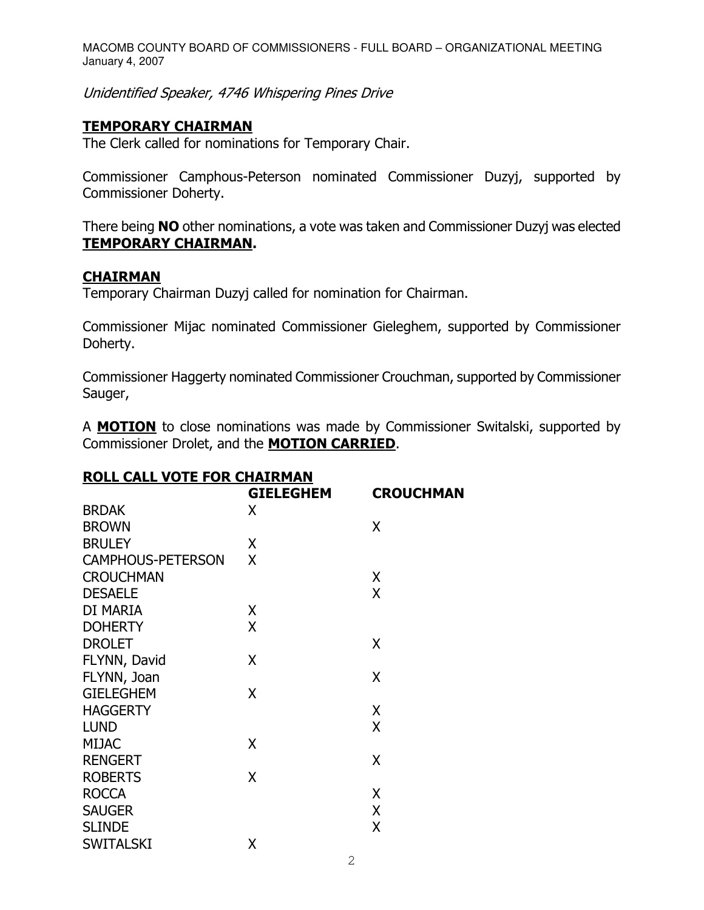Unidentified Speaker, 4746 Whispering Pines Drive

# <u>TEMPORARY CHAIRMAN</u>

The Clerk called for nominations for Temporary Chair.

Commissioner Camphous-Peterson nominated Commissioner Duzyj, supported by Commissioner Doherty.

There being **NO** other nominations, a vote was taken and Commissioner Duzyj was elected <u>TEMPORARY CHAIRMAN</u>.

### <u>CHAIRMAN</u>

Temporary Chairman Duzyj called for nomination for Chairman.

Commissioner Mijac nominated Commissioner Gieleghem, supported by Commissioner Doherty.

Commissioner Haggerty nominated Commissioner Crouchman, supported by Commissioner Sauger,

A **MOTION** to close nominations was made by Commissioner Switalski, supported by Commissioner Drolet, and the **MOTION CARRIED**.

## <u>ROLL CALL VOTE FOR CHAIRMAN</u>

|                          | <b>GIELEGHEM</b> | <b>CROUCHMAN</b> |
|--------------------------|------------------|------------------|
| <b>BRDAK</b>             | X                |                  |
| <b>BROWN</b>             |                  | X                |
| <b>BRULEY</b>            | χ                |                  |
| <b>CAMPHOUS-PETERSON</b> | X                |                  |
| <b>CROUCHMAN</b>         |                  | Χ                |
| <b>DESAELE</b>           |                  | X                |
| DI MARIA                 | X                |                  |
| <b>DOHERTY</b>           | X                |                  |
| <b>DROLET</b>            |                  | X                |
| FLYNN, David             | X                |                  |
| FLYNN, Joan              |                  | X                |
| <b>GIELEGHEM</b>         | Χ                |                  |
| <b>HAGGERTY</b>          |                  | Χ                |
| <b>LUND</b>              |                  | X                |
| <b>MIJAC</b>             | X                |                  |
| <b>RENGERT</b>           |                  | X                |
| <b>ROBERTS</b>           | X                |                  |
| <b>ROCCA</b>             |                  | X                |
| <b>SAUGER</b>            |                  | X                |
| <b>SLINDE</b>            |                  | X                |
| <b>SWITALSKI</b>         | Χ                |                  |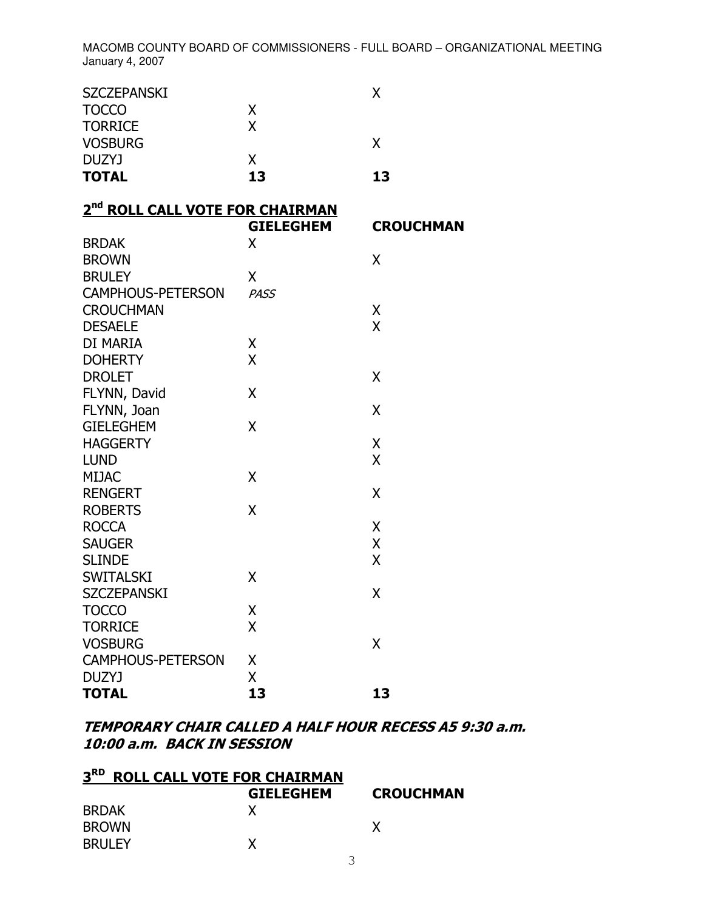| <b>TOTAL</b>       | 13 | 13 |
|--------------------|----|----|
| DUZYJ              | X  |    |
| <b>VOSBURG</b>     |    |    |
| <b>TORRICE</b>     | x  |    |
| <b>TOCCO</b>       | x  |    |
| <b>SZCZEPANSKI</b> |    |    |
|                    |    |    |

| 2 <sup>nd</sup> ROLL CALL VOTE FOR CHAIRMAN |  |
|---------------------------------------------|--|
|---------------------------------------------|--|

|                          | <b>GIELEGHEM</b> | <b>CROUCHMAN</b> |
|--------------------------|------------------|------------------|
| <b>BRDAK</b>             | X                |                  |
| <b>BROWN</b>             |                  | X                |
| <b>BRULEY</b>            | X                |                  |
| <b>CAMPHOUS-PETERSON</b> | <b>PASS</b>      |                  |
| <b>CROUCHMAN</b>         |                  | Χ                |
| <b>DESAELE</b>           |                  | $\overline{X}$   |
| DI MARIA                 | Χ                |                  |
| <b>DOHERTY</b>           | X                |                  |
| <b>DROLET</b>            |                  | X                |
| FLYNN, David             | X                |                  |
| FLYNN, Joan              |                  | X                |
| <b>GIELEGHEM</b>         | X                |                  |
| <b>HAGGERTY</b>          |                  | Χ                |
| <b>LUND</b>              |                  | X                |
| <b>MIJAC</b>             | X                |                  |
| <b>RENGERT</b>           |                  | X                |
| <b>ROBERTS</b>           | X                |                  |
| <b>ROCCA</b>             |                  | Χ                |
| <b>SAUGER</b>            |                  | X                |
| <b>SLINDE</b>            |                  | X                |
| <b>SWITALSKI</b>         | X                |                  |
| <b>SZCZEPANSKI</b>       |                  | X                |
| <b>TOCCO</b>             | χ                |                  |
| <b>TORRICE</b>           | X                |                  |
| <b>VOSBURG</b>           |                  | X                |
| <b>CAMPHOUS-PETERSON</b> | Χ                |                  |
| <b>DUZYJ</b>             | X                |                  |
| <b>TOTAL</b>             | 13               | 13               |

### TEMPORARY CHAIR CALLED A HALF HOUR RECESS A5 9:30 a.m. 10:00 a.m. BACK IN SESSION

| 3 <sup>RD</sup><br><b>ROLL CALL VOTE FOR CHAIRMAN</b> |                  |                  |
|-------------------------------------------------------|------------------|------------------|
|                                                       | <b>GIELEGHEM</b> | <b>CROUCHMAN</b> |
| <b>BRDAK</b>                                          |                  |                  |
| <b>BROWN</b>                                          |                  |                  |
| <b>BRULEY</b>                                         |                  |                  |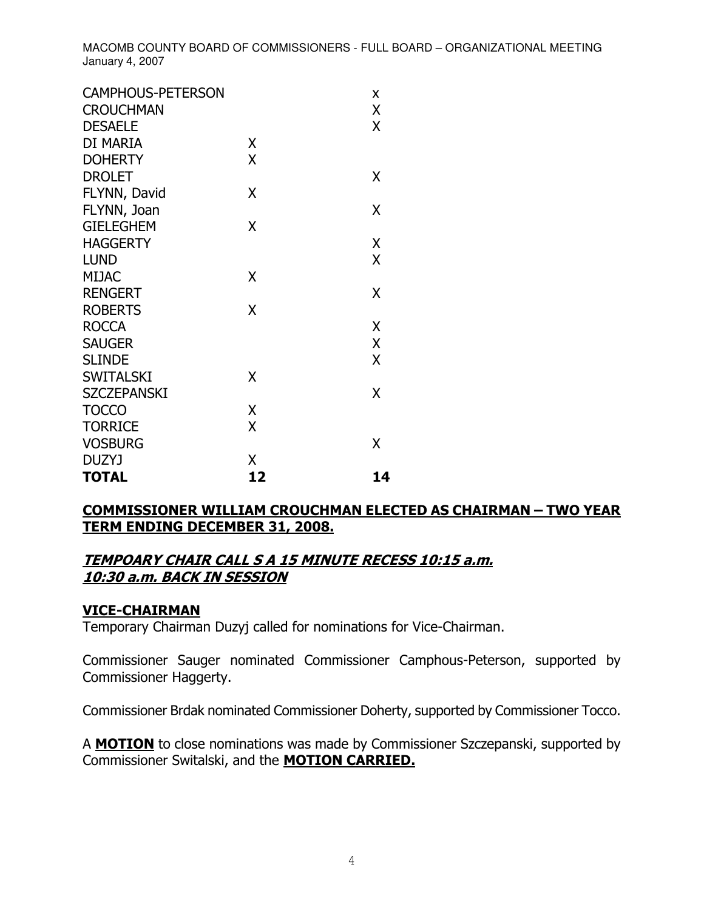| <b>CAMPHOUS-PETERSON</b> |    | Χ  |
|--------------------------|----|----|
| <b>CROUCHMAN</b>         |    | X  |
| <b>DESAELE</b>           |    | X  |
| DI MARIA                 | χ  |    |
| <b>DOHERTY</b>           | X  |    |
| <b>DROLET</b>            |    | Χ  |
| FLYNN, David             | Χ  |    |
| FLYNN, Joan              |    | χ  |
| <b>GIELEGHEM</b>         | X  |    |
| <b>HAGGERTY</b>          |    | X  |
| <b>LUND</b>              |    | X  |
| <b>MIJAC</b>             | X  |    |
| <b>RENGERT</b>           |    | χ  |
| <b>ROBERTS</b>           | X  |    |
| <b>ROCCA</b>             |    | X  |
| <b>SAUGER</b>            |    | Χ  |
| <b>SLINDE</b>            |    | X  |
| <b>SWITALSKI</b>         | Χ  |    |
| <b>SZCZEPANSKI</b>       |    | Χ  |
| <b>TOCCO</b>             | X  |    |
| <b>TORRICE</b>           | X  |    |
| <b>VOSBURG</b>           |    | Χ  |
| <b>DUZYJ</b>             | Χ  |    |
| <b>TOTAL</b>             | 12 | 14 |

## <u> COMMISSIONER WILLIAM CROUCHMAN ELECTED AS CHAIRMAN – TWO YEAR</u> <u>TERM ENDING DECEMBER 31, 2008.</u>

### TEMPOARY CHAIR CALL S A 15 MINUTE RECESS 10:15 a.m. 10:30 a.m. BACK IN SESSION

## <u>VICE-CHAIRMAN</u>

Temporary Chairman Duzyj called for nominations for Vice-Chairman.

Commissioner Sauger nominated Commissioner Camphous-Peterson, supported by Commissioner Haggerty.

Commissioner Brdak nominated Commissioner Doherty, supported by Commissioner Tocco.

A **MOTION** to close nominations was made by Commissioner Szczepanski, supported by Commissioner Switalski, and the MOTION CARRIED.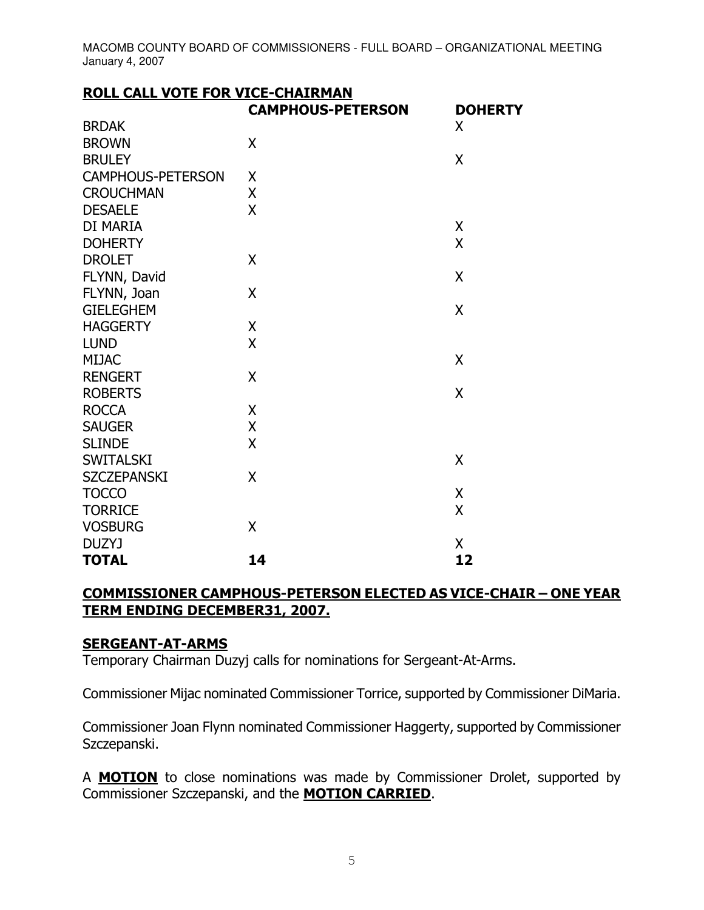| <b>ROLL CALL VOTE FOR VICE-CHAIRMAN</b> |                          |                |
|-----------------------------------------|--------------------------|----------------|
|                                         | <b>CAMPHOUS-PETERSON</b> | <b>DOHERTY</b> |
| <b>BRDAK</b>                            |                          | X              |
| <b>BROWN</b>                            | X                        |                |
| <b>BRULEY</b>                           |                          | X              |
| <b>CAMPHOUS-PETERSON</b>                | X                        |                |
| <b>CROUCHMAN</b>                        | X                        |                |
| <b>DESAELE</b>                          | X                        |                |
| DI MARIA                                |                          | X              |
| <b>DOHERTY</b>                          |                          | $\overline{X}$ |
| <b>DROLET</b>                           | X                        |                |
| FLYNN, David                            |                          | X              |
| FLYNN, Joan                             | X                        |                |
| <b>GIELEGHEM</b>                        |                          | X              |
| <b>HAGGERTY</b>                         | X                        |                |
| <b>LUND</b>                             | X                        |                |
| <b>MIJAC</b>                            |                          | X              |
| <b>RENGERT</b>                          | $\sf X$                  |                |
| <b>ROBERTS</b>                          |                          | X              |
| <b>ROCCA</b>                            | X                        |                |
| <b>SAUGER</b>                           | X                        |                |
| <b>SLINDE</b>                           | X                        |                |
| <b>SWITALSKI</b>                        |                          | X              |
| <b>SZCZEPANSKI</b>                      | X                        |                |
| <b>TOCCO</b>                            |                          | X              |
| <b>TORRICE</b>                          |                          | X              |
| <b>VOSBURG</b>                          | X                        |                |
| <b>DUZYJ</b>                            |                          | X              |
| <b>TOTAL</b>                            | 14                       | 12             |

## <u> COMMISSIONER CAMPHOUS-PETERSON ELECTED AS VICE-CHAIR – ONE YEAR</u> <u>TERM ENDING DECEMBER31, 2007.</u>

## <u>SERGEANT-AT-ARMS</u>

Temporary Chairman Duzyj calls for nominations for Sergeant-At-Arms.

Commissioner Mijac nominated Commissioner Torrice, supported by Commissioner DiMaria.

Commissioner Joan Flynn nominated Commissioner Haggerty, supported by Commissioner Szczepanski.

A **MOTION** to close nominations was made by Commissioner Drolet, supported by Commissioner Szczepanski, and the **MOTION CARRIED**.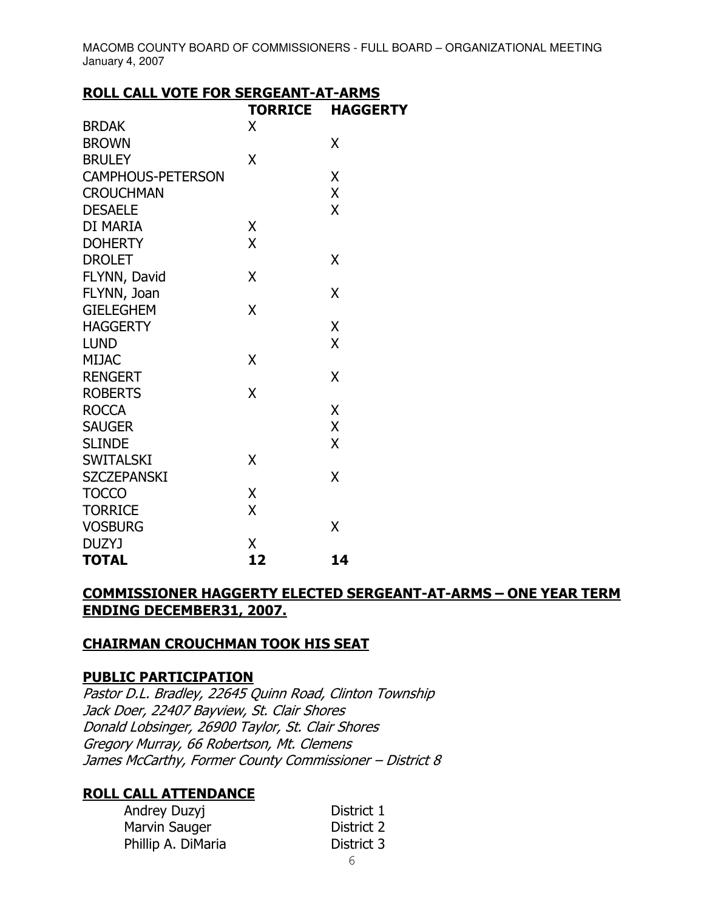## **ROLL CALL VOTE FOR SERGEANT-AT-ARMS**

|                          | <b>TORRICE</b> | <b>HAGGERTY</b> |
|--------------------------|----------------|-----------------|
| <b>BRDAK</b>             | X              |                 |
| <b>BROWN</b>             |                | Χ               |
| <b>BRULEY</b>            | X              |                 |
| <b>CAMPHOUS-PETERSON</b> |                | Χ               |
| <b>CROUCHMAN</b>         |                | Χ               |
| <b>DESAELE</b>           |                | X               |
| DI MARIA                 | X              |                 |
| <b>DOHERTY</b>           | X              |                 |
| <b>DROLET</b>            |                | χ               |
| FLYNN, David             | X              |                 |
| FLYNN, Joan              |                | Χ               |
| <b>GIELEGHEM</b>         | X              |                 |
| <b>HAGGERTY</b>          |                | X               |
| <b>LUND</b>              |                | X               |
| <b>MIJAC</b>             | X              |                 |
| <b>RENGERT</b>           |                | X               |
| <b>ROBERTS</b>           | X              |                 |
| <b>ROCCA</b>             |                | Χ               |
| <b>SAUGER</b>            |                | X               |
| <b>SLINDE</b>            |                | X               |
| <b>SWITALSKI</b>         | X              |                 |
| <b>SZCZEPANSKI</b>       |                | X               |
| <b>TOCCO</b>             | Χ              |                 |
| <b>TORRICE</b>           | X              |                 |
| <b>VOSBURG</b>           |                | X               |
| DUZYJ                    | Χ              |                 |
| <b>TOTAL</b>             | 12             | 14              |

#### **COMMISSIONER HAGGERTY ELECTED SERGEANT-AT-ARMS - ONE YEAR TERM ENDING DECEMBER31, 2007.**

#### **CHAIRMAN CROUCHMAN TOOK HIS SEAT**

#### **PUBLIC PARTICIPATION**

Pastor D.L. Bradley, 22645 Quinn Road, Clinton Township Jack Doer, 22407 Bayview, St. Clair Shores Donald Lobsinger, 26900 Taylor, St. Clair Shores Gregory Murray, 66 Robertson, Mt. Clemens James McCarthy, Former County Commissioner - District 8

## **ROLL CALL ATTENDANCE**

| Andrey Duzyj       | District 1 |
|--------------------|------------|
| Marvin Sauger      | District 2 |
| Phillip A. DiMaria | District 3 |